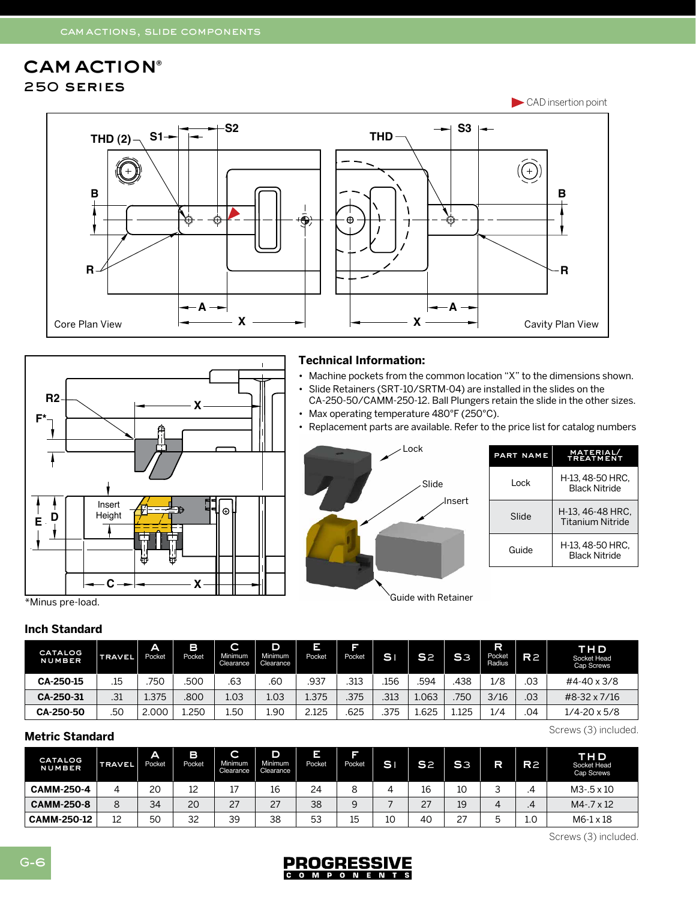# cam action**®** 250 series





### **Technical Information:**

- Machine pockets from the common location "X" to the dimensions shown. • Slide Retainers (SRT-10/SRTM-04) are installed in the slides on the
- CA-250-50/CAMM-250-12. Ball Plungers retain the slide in the other sizes. • Max operating temperature 480°F (250°C).
- Replacement parts are available. Refer to the price list for catalog numbers



| PART NAME | <b>MATERIAL/</b><br><b>TREATMENT</b>        |
|-----------|---------------------------------------------|
| l ock     | H-13, 48-50 HRC,<br><b>Black Nitride</b>    |
| Slide     | H-13, 46-48 HRC.<br><b>Titanium Nitride</b> |
| Guide     | H-13.48-50 HRC.<br><b>Black Nitride</b>     |

Guide with Retainer

#### **Inch Standard**

| <b>CATALOG</b><br><b>NUMBER</b> | <b>TRAVEL</b> | A<br>Pocket | в<br>Pocket | $\overline{\phantom{0}}$<br>$\overline{\phantom{a}}$<br>Minimum<br>Clearance | D<br>Minimum<br>Clearance | Е<br>Pocket | T<br>Pocket | <b>SI</b> | S <sub>2</sub> | S <sub>3</sub> | R<br>Pocket<br>Radius | R2  | <b>THD</b><br>Socket Head<br>Cap Screws |
|---------------------------------|---------------|-------------|-------------|------------------------------------------------------------------------------|---------------------------|-------------|-------------|-----------|----------------|----------------|-----------------------|-----|-----------------------------------------|
| CA-250-15                       | .15           | 750         | 500         | .63                                                                          | .60                       | .937        | .313        | .156      | .594           | 438            | 1/8                   | .03 | #4-40 x 3/8                             |
| CA-250-31                       | .31           | 1.375       | 800         | 1.03                                                                         | 1.03                      | 1.375       | .375        | .313      | 1.063          | 750            | 3/16                  | .03 | #8-32 x 7/16                            |
| CA-250-50                       | .50           | 2.000'      | 1.250       | 1.50                                                                         | 1.90                      | 2.125       | 625         | .375      | 1.625          | 1.125          | 1/4                   | 04  | $1/4 - 20 \times 5/8$                   |

## **Metric Standard**

| <b>CATALOG</b><br><b>NUMBER</b> | <b>TRAVEL</b> | A<br>Pocket | в<br>Pocket | C<br>Minimum<br>Clearance | D<br>Minimum<br>Clearance | Ξ<br>-<br>Pocket | T<br>Pocket | SI. | S <sub>2</sub>      | S <sub>3</sub> | R                                                    | R <sub>2</sub> | THD<br>Socket Head<br>Cap Screws |
|---------------------------------|---------------|-------------|-------------|---------------------------|---------------------------|------------------|-------------|-----|---------------------|----------------|------------------------------------------------------|----------------|----------------------------------|
| <b>CAMM-250-4</b>               |               | 20          | 12          | 17<br>. .                 | 16                        | 24               | 8           | 4   | 16                  | 10             | $\overline{\phantom{0}}$<br>$\overline{\phantom{0}}$ | .4             | $M3 - 5 \times 10$               |
| <b>CAMM-250-8</b>               | 8             | 34          | 20          | 27                        | 27                        | 38               | 9           |     | $\mathcal{L}$<br>Ζ. | 19             | 4                                                    | .4             | $M4 - 7 \times 12$               |
| <b>CAMM-250-12</b>              | 12            | 50          | 32          | 39                        | 38                        | 53               | 15          | 10  | 40                  | 27             | h<br>ٮ                                               | 1.0            | $M6-1 \times 18$                 |

Screws (3) included.

Screws (3) included.

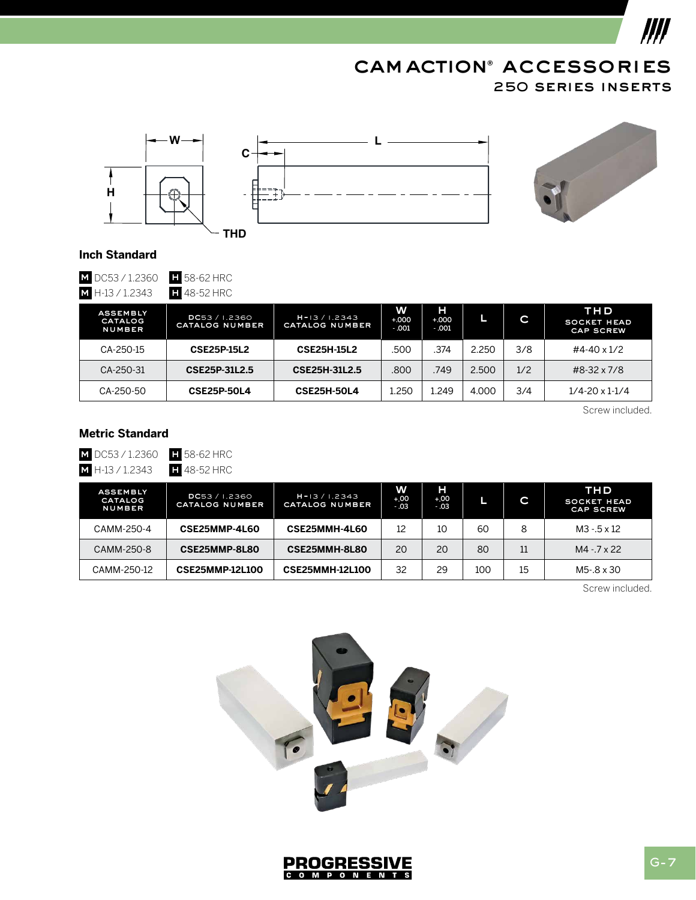# 250 series inserts cam action**®** accessories



 $III$ 





#### **Inch Standard**

**M** DC53 / 1.2360 **h** 58-62 HRC<br>**M** H-13 / 1.2343 **h** 48-52 HRC  $M$  H-13 / 1.2343

| ASSEMBLY<br><b>CATALOG</b><br><b>NUMBER</b> | DC53 / 1.2360<br><b>CATALOG NUMBER</b> | $H = 13 / 1.2343$<br><b>CATALOG NUMBER</b> | w<br>$+000$<br>$-001$ | н<br>$+000$<br>$-001$ | ш     | C.  | THD<br><b>SOCKET HEAD</b><br><b>CAP SCREW</b> |
|---------------------------------------------|----------------------------------------|--------------------------------------------|-----------------------|-----------------------|-------|-----|-----------------------------------------------|
| CA-250-15                                   | <b>CSE25P-15L2</b>                     | <b>CSE25H-15L2</b>                         | .500                  | .374                  | 2.250 | 3/8 | #4-40 x 1/2                                   |
| CA-250-31                                   | CSE25P-31L2.5                          | CSE25H-31L2.5                              | .800                  | .749                  | 2.500 | 1/2 | #8-32 x 7/8                                   |
| CA-250-50                                   | <b>CSE25P-50L4</b>                     | <b>CSE25H-50L4</b>                         | 1.250                 | 1.249                 | 4.000 | 3/4 | $1/4 - 20 \times 1 - 1/4$                     |

Screw included.

# **Metric Standard**

**M** DC53 / 1.2360 **H** 58-62 HRC

**M** H-13 / 1.2343 **H** 48-52 HRC

| <b>ASSEMBLY</b><br>CATALOG<br>NUMBER | DC53 / 1.2360<br>CATALOG NUMBER | $H = 13 / 1.2343$<br>CATALOG NUMBER | W<br>$+.00$<br>$-03$ | н<br>$+.00$<br>$-03$ |     | C  | THD<br><b>SOCKET HEAD</b><br><b>CAP SCREW</b> |
|--------------------------------------|---------------------------------|-------------------------------------|----------------------|----------------------|-----|----|-----------------------------------------------|
| CAMM-250-4                           | CSE25MMP-4L60                   | CSE25MMH-4L60                       | 12                   | 10                   | 60  | 8  | $M3 - 5 \times 12$                            |
| CAMM-250-8                           | CSE25MMP-8L80                   | CSE25MMH-8L80                       | 20                   | 20                   | 80  | 11 | $M4 - 7 \times 22$                            |
| CAMM-250-12                          | <b>CSE25MMP-12L100</b>          | <b>CSE25MMH-12L100</b>              | 32                   | 29                   | 100 | 15 | $M5 - .8 \times 30$                           |

Screw included.